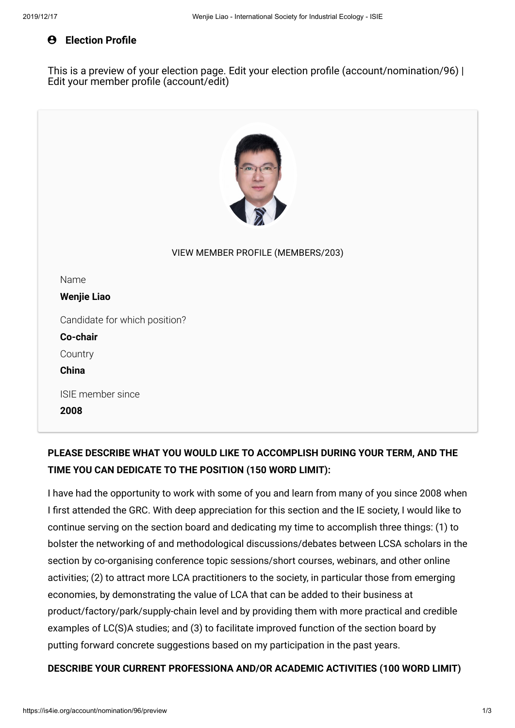# **A** Election Profile

This is a preview of your election page. Edit your election profile (account/nomination/96) [ Edit your member profile (account/edit)

|                               | VIEW MEMBER PROFILE (MEMBERS/203) |
|-------------------------------|-----------------------------------|
| Name                          |                                   |
| <b>Wenjie Liao</b>            |                                   |
| Candidate for which position? |                                   |
| Co-chair                      |                                   |
| Country                       |                                   |
| <b>China</b>                  |                                   |
| ISIE member since             |                                   |
| 2008                          |                                   |

# **PLEASE DESCRIBE WHAT YOU WOULD LIKE TO ACCOMPLISH DURING YOUR TERM, AND THE TIME YOU CAN DEDICATE TO THE POSITION (150 WORD LIMIT):**

I have had the opportunity to work with some of you and learn from many of you since 2008 when I first attended the GRC. With deep appreciation for this section and the IE society. I would like to continue serving on the section board and dedicating my time to accomplish three things: (1) to bolster the networking of and methodological discussions/debates between LCSA scholars in the section by co-organising conference topic sessions/short courses, webinars, and other online activities; (2) to attract more LCA practitioners to the society, in particular those from emerging economies, by demonstrating the value of LCA that can be added to their business at product/factory/park/supply-chain level and by providing them with more practical and credible examples of LC(S)A studies; and (3) to facilitate improved function of the section board by putting forward concrete suggestions based on my participation in the past years.

#### **DESCRIBE YOUR CURRENT PROFESSIONA AND/OR ACADEMIC ACTIVITIES (100 WORD LIMIT)**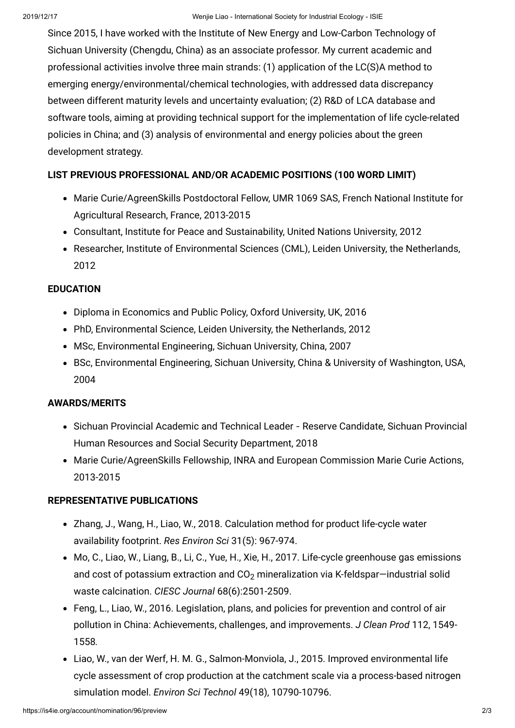Since 2015, I have worked with the Institute of New Energy and Low-Carbon Technology of Sichuan University (Chengdu, China) as an associate professor. My current academic and professional activities involve three main strands: (1) application of the LC(S)A method to emerging energy/environmental/chemical technologies, with addressed data discrepancy between different maturity levels and uncertainty evaluation; (2) R&D of LCA database and software tools, aiming at providing technical support for the implementation of life cycle-related policies in China; and (3) analysis of environmental and energy policies about the green development strategy.

## **LIST PREVIOUS PROFESSIONAL AND/OR ACADEMIC POSITIONS (100 WORD LIMIT)**

- Marie Curie/AgreenSkills Postdoctoral Fellow, UMR 1069 SAS, French National Institute for Agricultural Research, France, 2013-2015
- Consultant, Institute for Peace and Sustainability, United Nations University, 2012
- Researcher, Institute of Environmental Sciences (CML), Leiden University, the Netherlands, 2012

#### **EDUCATION**

- Diploma in Economics and Public Policy, Oxford University, UK, 2016
- PhD, Environmental Science, Leiden University, the Netherlands, 2012
- MSc, Environmental Engineering, Sichuan University, China, 2007
- BSc, Environmental Engineering, Sichuan University, China & University of Washington, USA, 2004

## **AWARDS/MERITS**

- Sichuan Provincial Academic and Technical Leader ‐ Reserve Candidate, Sichuan Provincial Human Resources and Social Security Department, 2018
- Marie Curie/AgreenSkills Fellowship, INRA and European Commission Marie Curie Actions, 2013-2015

#### **REPRESENTATIVE PUBLICATIONS**

- Zhang, J., Wang, H., Liao, W., 2018. Calculation method for product life-cycle water availability footprint. *Res Environ Sci* 31(5): 967-974.
- Mo, C., Liao, W., Liang, B., Li, C., Yue, H., Xie, H., 2017. Life-cycle greenhouse gas emissions and cost of potassium extraction and CO $_2$  mineralization via K-feldspar $-$ industrial solid waste calcination. *CIESC Journal* 68(6):2501-2509.
- Feng, L., Liao, W., 2016. Legislation, plans, and policies for prevention and control of air pollution in China: Achievements, challenges, and improvements. *J Clean Prod* 112, 1549- 1558*.*
- Liao, W., van der Werf, H. M. G., Salmon-Monviola, J., 2015. Improved environmental life cycle assessment of crop production at the catchment scale via a process-based nitrogen simulation model. *Environ Sci Technol* 49(18), 10790-10796.